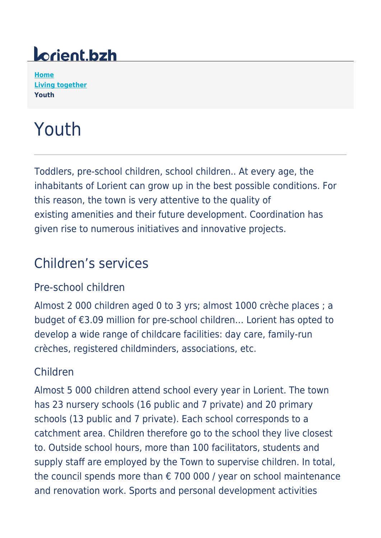## *Lorient.bzh*

**[Home](https://www.lorient.bzh/en) [Living together](https://www.lorient.bzh/en/living-together/) Youth**

# Youth

Toddlers, pre-school children, school children.. At every age, the inhabitants of Lorient can grow up in the best possible conditions. For this reason, the town is very attentive to the quality of existing amenities and their future development. Coordination has given rise to numerous initiatives and innovative projects.

## Children's services

#### Pre-school children

Almost 2 000 children aged 0 to 3 yrs; almost 1000 crèche places ; a budget of €3.09 million for pre-school children… Lorient has opted to develop a wide range of childcare facilities: day care, family-run crèches, registered childminders, associations, etc.

#### Children

Almost 5 000 children attend school every year in Lorient. The town has 23 nursery schools (16 public and 7 private) and 20 primary schools (13 public and 7 private). Each school corresponds to a catchment area. Children therefore go to the school they live closest to. Outside school hours, more than 100 facilitators, students and supply staff are employed by the Town to supervise children. In total, the council spends more than  $\epsilon$  700 000 / year on school maintenance and renovation work. Sports and personal development activities